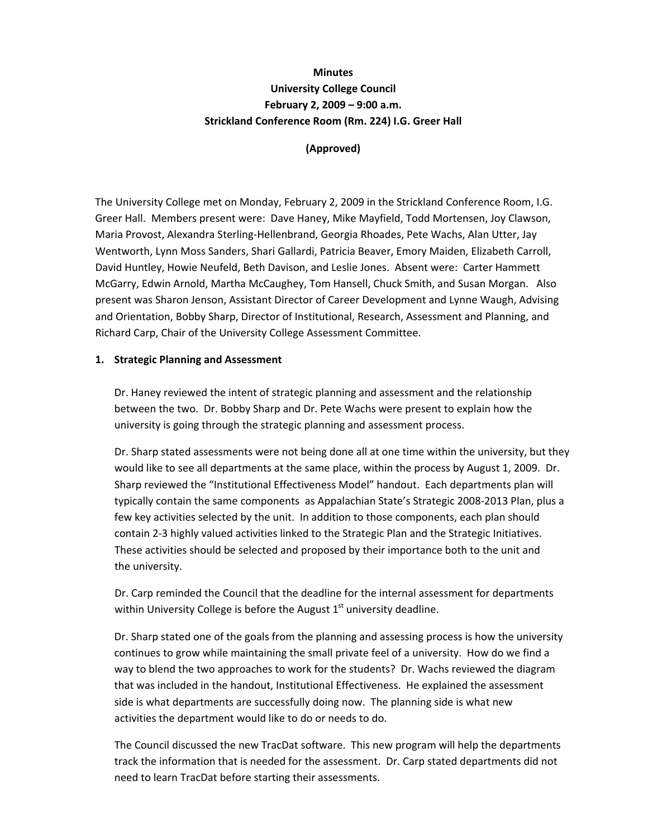# **Minutes University College Council February 2, 2009 – 9:00 a.m. Strickland Conference Room (Rm. 224) I.G. Greer Hall**

**(Approved)**

The University College met on Monday, February 2, 2009 in the Strickland Conference Room, I.G. Greer Hall. Members present were: Dave Haney, Mike Mayfield, Todd Mortensen, Joy Clawson, Maria Provost, Alexandra Sterling‐Hellenbrand, Georgia Rhoades, Pete Wachs, Alan Utter, Jay Wentworth, Lynn Moss Sanders, Shari Gallardi, Patricia Beaver, Emory Maiden, Elizabeth Carroll, David Huntley, Howie Neufeld, Beth Davison, and Leslie Jones. Absent were: Carter Hammett McGarry, Edwin Arnold, Martha McCaughey, Tom Hansell, Chuck Smith, and Susan Morgan. Also present was Sharon Jenson, Assistant Director of Career Development and Lynne Waugh, Advising and Orientation, Bobby Sharp, Director of Institutional, Research, Assessment and Planning, and Richard Carp, Chair of the University College Assessment Committee.

#### **1. Strategic Planning and Assessment**

Dr. Haney reviewed the intent of strategic planning and assessment and the relationship between the two. Dr. Bobby Sharp and Dr. Pete Wachs were present to explain how the university is going through the strategic planning and assessment process.

Dr. Sharp stated assessments were not being done all at one time within the university, but they would like to see all departments at the same place, within the process by August 1, 2009. Dr. Sharp reviewed the "Institutional Effectiveness Model" handout. Each departments plan will typically contain the same components as Appalachian State's Strategic 2008‐2013 Plan, plus a few key activities selected by the unit. In addition to those components, each plan should contain 2‐3 highly valued activities linked to the Strategic Plan and the Strategic Initiatives. These activities should be selected and proposed by their importance both to the unit and the university.

Dr. Carp reminded the Council that the deadline for the internal assessment for departments within University College is before the August  $1<sup>st</sup>$  university deadline.

Dr. Sharp stated one of the goals from the planning and assessing process is how the university continues to grow while maintaining the small private feel of a university. How do we find a way to blend the two approaches to work for the students? Dr. Wachs reviewed the diagram that was included in the handout, Institutional Effectiveness. He explained the assessment side is what departments are successfully doing now. The planning side is what new activities the department would like to do or needs to do.

The Council discussed the new TracDat software. This new program will help the departments track the information that is needed for the assessment. Dr. Carp stated departments did not need to learn TracDat before starting their assessments.